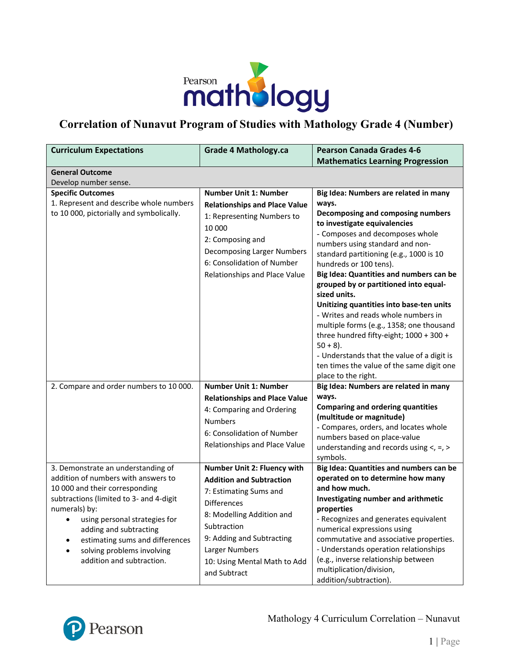

# **Correlation of Nunavut Program of Studies with Mathology Grade 4 (Number)**

| <b>Curriculum Expectations</b>                                                                                                                                                                                                                                                                                                        | <b>Grade 4 Mathology.ca</b>                                                                                                                                                                                                                               | <b>Pearson Canada Grades 4-6</b><br><b>Mathematics Learning Progression</b>                                                                                                                                                                                                                                                                                                                                                                                                                                                                                                                                                                                                   |
|---------------------------------------------------------------------------------------------------------------------------------------------------------------------------------------------------------------------------------------------------------------------------------------------------------------------------------------|-----------------------------------------------------------------------------------------------------------------------------------------------------------------------------------------------------------------------------------------------------------|-------------------------------------------------------------------------------------------------------------------------------------------------------------------------------------------------------------------------------------------------------------------------------------------------------------------------------------------------------------------------------------------------------------------------------------------------------------------------------------------------------------------------------------------------------------------------------------------------------------------------------------------------------------------------------|
| <b>General Outcome</b>                                                                                                                                                                                                                                                                                                                |                                                                                                                                                                                                                                                           |                                                                                                                                                                                                                                                                                                                                                                                                                                                                                                                                                                                                                                                                               |
| Develop number sense.                                                                                                                                                                                                                                                                                                                 |                                                                                                                                                                                                                                                           |                                                                                                                                                                                                                                                                                                                                                                                                                                                                                                                                                                                                                                                                               |
| <b>Specific Outcomes</b><br>1. Represent and describe whole numbers<br>to 10 000, pictorially and symbolically.                                                                                                                                                                                                                       | <b>Number Unit 1: Number</b><br><b>Relationships and Place Value</b><br>1: Representing Numbers to<br>10 000<br>2: Composing and<br>Decomposing Larger Numbers<br>6: Consolidation of Number<br>Relationships and Place Value                             | Big Idea: Numbers are related in many<br>ways.<br>Decomposing and composing numbers<br>to investigate equivalencies<br>- Composes and decomposes whole<br>numbers using standard and non-<br>standard partitioning (e.g., 1000 is 10<br>hundreds or 100 tens).<br>Big Idea: Quantities and numbers can be<br>grouped by or partitioned into equal-<br>sized units.<br>Unitizing quantities into base-ten units<br>- Writes and reads whole numbers in<br>multiple forms (e.g., 1358; one thousand<br>three hundred fifty-eight; 1000 + 300 +<br>$50 + 8$ ).<br>- Understands that the value of a digit is<br>ten times the value of the same digit one<br>place to the right. |
| 2. Compare and order numbers to 10 000.                                                                                                                                                                                                                                                                                               | <b>Number Unit 1: Number</b><br><b>Relationships and Place Value</b><br>4: Comparing and Ordering<br><b>Numbers</b><br>6: Consolidation of Number<br>Relationships and Place Value                                                                        | Big Idea: Numbers are related in many<br>ways.<br><b>Comparing and ordering quantities</b><br>(multitude or magnitude)<br>- Compares, orders, and locates whole<br>numbers based on place-value<br>understanding and records using $\lt$ , =, >                                                                                                                                                                                                                                                                                                                                                                                                                               |
| 3. Demonstrate an understanding of<br>addition of numbers with answers to<br>10 000 and their corresponding<br>subtractions (limited to 3- and 4-digit<br>numerals) by:<br>using personal strategies for<br>٠<br>adding and subtracting<br>estimating sums and differences<br>solving problems involving<br>addition and subtraction. | Number Unit 2: Fluency with<br><b>Addition and Subtraction</b><br>7: Estimating Sums and<br><b>Differences</b><br>8: Modelling Addition and<br>Subtraction<br>9: Adding and Subtracting<br>Larger Numbers<br>10: Using Mental Math to Add<br>and Subtract | symbols.<br>Big Idea: Quantities and numbers can be<br>operated on to determine how many<br>and how much.<br>Investigating number and arithmetic<br>properties<br>- Recognizes and generates equivalent<br>numerical expressions using<br>commutative and associative properties.<br>- Understands operation relationships<br>(e.g., inverse relationship between<br>multiplication/division,<br>addition/subtraction).                                                                                                                                                                                                                                                       |

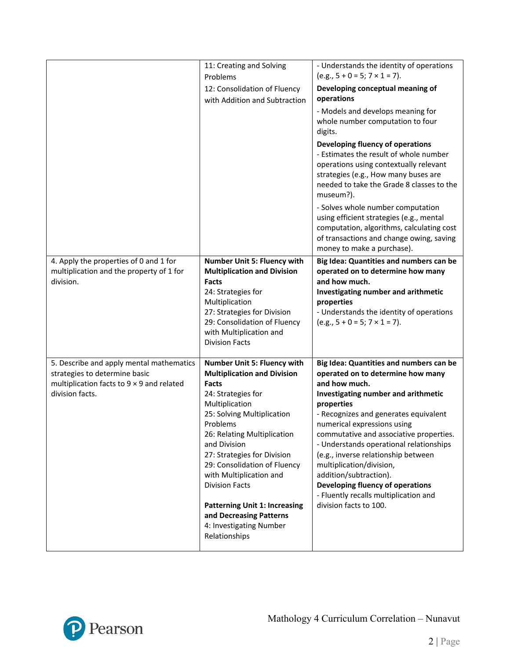|                                                                                                                                                  | 11: Creating and Solving<br>Problems<br>12: Consolidation of Fluency<br>with Addition and Subtraction                                                                                                                                                                                                                                                                                                                                         | - Understands the identity of operations<br>$(e.g., 5 + 0 = 5; 7 \times 1 = 7).$<br>Developing conceptual meaning of<br>operations<br>- Models and develops meaning for<br>whole number computation to four<br>digits.<br>Developing fluency of operations<br>- Estimates the result of whole number<br>operations using contextually relevant<br>strategies (e.g., How many buses are<br>needed to take the Grade 8 classes to the<br>museum?).                                                                     |
|--------------------------------------------------------------------------------------------------------------------------------------------------|-----------------------------------------------------------------------------------------------------------------------------------------------------------------------------------------------------------------------------------------------------------------------------------------------------------------------------------------------------------------------------------------------------------------------------------------------|----------------------------------------------------------------------------------------------------------------------------------------------------------------------------------------------------------------------------------------------------------------------------------------------------------------------------------------------------------------------------------------------------------------------------------------------------------------------------------------------------------------------|
|                                                                                                                                                  |                                                                                                                                                                                                                                                                                                                                                                                                                                               | - Solves whole number computation<br>using efficient strategies (e.g., mental<br>computation, algorithms, calculating cost<br>of transactions and change owing, saving<br>money to make a purchase).                                                                                                                                                                                                                                                                                                                 |
| 4. Apply the properties of 0 and 1 for<br>multiplication and the property of 1 for<br>division.                                                  | Number Unit 5: Fluency with<br><b>Multiplication and Division</b><br>Facts<br>24: Strategies for<br>Multiplication<br>27: Strategies for Division<br>29: Consolidation of Fluency<br>with Multiplication and<br><b>Division Facts</b>                                                                                                                                                                                                         | Big Idea: Quantities and numbers can be<br>operated on to determine how many<br>and how much.<br>Investigating number and arithmetic<br>properties<br>- Understands the identity of operations<br>$(e.g., 5 + 0 = 5; 7 \times 1 = 7).$                                                                                                                                                                                                                                                                               |
| 5. Describe and apply mental mathematics<br>strategies to determine basic<br>multiplication facts to $9 \times 9$ and related<br>division facts. | Number Unit 5: Fluency with<br><b>Multiplication and Division</b><br>Facts<br>24: Strategies for<br>Multiplication<br>25: Solving Multiplication<br>Problems<br>26: Relating Multiplication<br>and Division<br>27: Strategies for Division<br>29: Consolidation of Fluency<br>with Multiplication and<br><b>Division Facts</b><br><b>Patterning Unit 1: Increasing</b><br>and Decreasing Patterns<br>4: Investigating Number<br>Relationships | Big Idea: Quantities and numbers can be<br>operated on to determine how many<br>and how much.<br>Investigating number and arithmetic<br>properties<br>- Recognizes and generates equivalent<br>numerical expressions using<br>commutative and associative properties.<br>- Understands operational relationships<br>(e.g., inverse relationship between<br>multiplication/division,<br>addition/subtraction).<br>Developing fluency of operations<br>- Fluently recalls multiplication and<br>division facts to 100. |

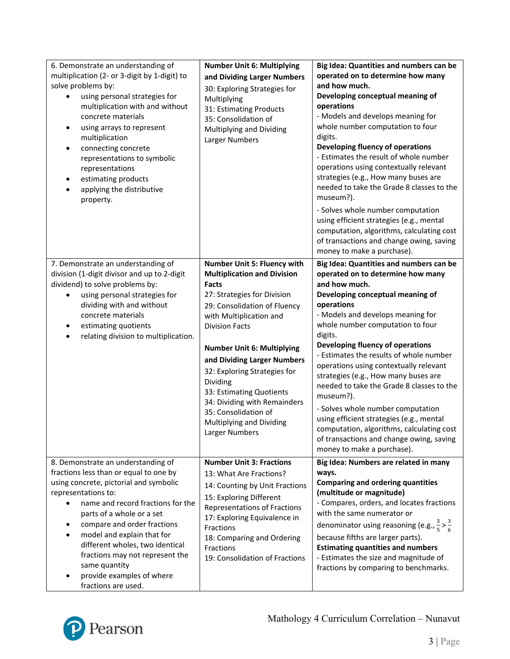| 6. Demonstrate an understanding of<br>multiplication (2- or 3-digit by 1-digit) to<br>solve problems by:<br>using personal strategies for<br>multiplication with and without<br>concrete materials<br>using arrays to represent<br>$\bullet$<br>multiplication<br>connecting concrete<br>representations to symbolic<br>representations<br>estimating products<br>applying the distributive<br>property.                | <b>Number Unit 6: Multiplying</b><br>and Dividing Larger Numbers<br>30: Exploring Strategies for<br>Multiplying<br>31: Estimating Products<br>35: Consolidation of<br>Multiplying and Dividing<br>Larger Numbers                                                                                                                                                                                                                                       | Big Idea: Quantities and numbers can be<br>operated on to determine how many<br>and how much.<br>Developing conceptual meaning of<br>operations<br>- Models and develops meaning for<br>whole number computation to four<br>digits.<br>Developing fluency of operations<br>- Estimates the result of whole number<br>operations using contextually relevant<br>strategies (e.g., How many buses are<br>needed to take the Grade 8 classes to the<br>museum?).<br>- Solves whole number computation<br>using efficient strategies (e.g., mental<br>computation, algorithms, calculating cost<br>of transactions and change owing, saving                                                              |
|-------------------------------------------------------------------------------------------------------------------------------------------------------------------------------------------------------------------------------------------------------------------------------------------------------------------------------------------------------------------------------------------------------------------------|--------------------------------------------------------------------------------------------------------------------------------------------------------------------------------------------------------------------------------------------------------------------------------------------------------------------------------------------------------------------------------------------------------------------------------------------------------|------------------------------------------------------------------------------------------------------------------------------------------------------------------------------------------------------------------------------------------------------------------------------------------------------------------------------------------------------------------------------------------------------------------------------------------------------------------------------------------------------------------------------------------------------------------------------------------------------------------------------------------------------------------------------------------------------|
| 7. Demonstrate an understanding of<br>division (1-digit divisor and up to 2-digit<br>dividend) to solve problems by:<br>using personal strategies for<br>dividing with and without<br>concrete materials<br>estimating quotients<br>relating division to multiplication.                                                                                                                                                | Number Unit 5: Fluency with<br><b>Multiplication and Division</b><br><b>Facts</b><br>27: Strategies for Division<br>29: Consolidation of Fluency<br>with Multiplication and<br><b>Division Facts</b><br><b>Number Unit 6: Multiplying</b><br>and Dividing Larger Numbers<br>32: Exploring Strategies for<br>Dividing<br>33: Estimating Quotients<br>34: Dividing with Remainders<br>35: Consolidation of<br>Multiplying and Dividing<br>Larger Numbers | money to make a purchase).<br>Big Idea: Quantities and numbers can be<br>operated on to determine how many<br>and how much.<br>Developing conceptual meaning of<br>operations<br>- Models and develops meaning for<br>whole number computation to four<br>digits.<br>Developing fluency of operations<br>- Estimates the results of whole number<br>operations using contextually relevant<br>strategies (e.g., How many buses are<br>needed to take the Grade 8 classes to the<br>museum?).<br>- Solves whole number computation<br>using efficient strategies (e.g., mental<br>computation, algorithms, calculating cost<br>of transactions and change owing, saving<br>money to make a purchase). |
| 8. Demonstrate an understanding of<br>fractions less than or equal to one by<br>using concrete, pictorial and symbolic<br>representations to:<br>name and record fractions for the<br>parts of a whole or a set<br>compare and order fractions<br>model and explain that for<br>different wholes, two identical<br>fractions may not represent the<br>same quantity<br>provide examples of where<br>fractions are used. | <b>Number Unit 3: Fractions</b><br>13: What Are Fractions?<br>14: Counting by Unit Fractions<br>15: Exploring Different<br>Representations of Fractions<br>17: Exploring Equivalence in<br>Fractions<br>18: Comparing and Ordering<br>Fractions<br>19: Consolidation of Fractions                                                                                                                                                                      | Big Idea: Numbers are related in many<br>ways.<br><b>Comparing and ordering quantities</b><br>(multitude or magnitude)<br>- Compares, orders, and locates fractions<br>with the same numerator or<br>denominator using reasoning (e.g., $\frac{3}{5} > \frac{3}{6}$<br>because fifths are larger parts).<br><b>Estimating quantities and numbers</b><br>- Estimates the size and magnitude of<br>fractions by comparing to benchmarks.                                                                                                                                                                                                                                                               |

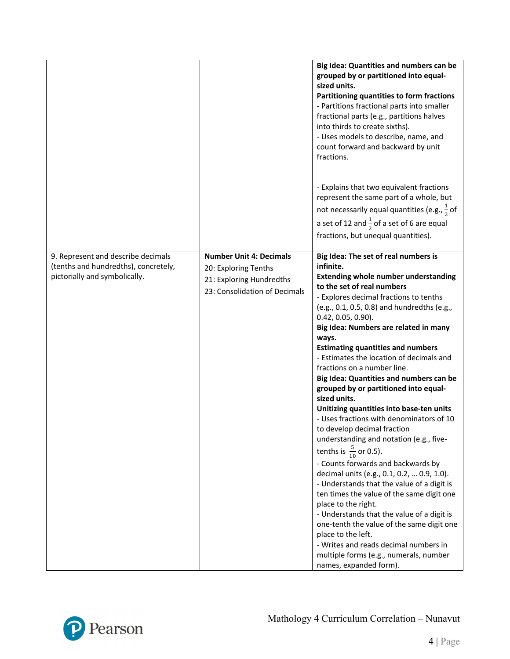|                                                                                                             |                                                                                                                     | Big Idea: Quantities and numbers can be<br>grouped by or partitioned into equal-<br>sized units.<br>Partitioning quantities to form fractions<br>- Partitions fractional parts into smaller<br>fractional parts (e.g., partitions halves<br>into thirds to create sixths).<br>- Uses models to describe, name, and<br>count forward and backward by unit<br>fractions.<br>- Explains that two equivalent fractions<br>represent the same part of a whole, but<br>not necessarily equal quantities (e.g., $\frac{1}{2}$ of<br>a set of 12 and $\frac{1}{2}$ of a set of 6 are equal<br>fractions, but unequal quantities).                                                                                                                                                                                                                                                                                                                                                                                                                                                                                                                                                |
|-------------------------------------------------------------------------------------------------------------|---------------------------------------------------------------------------------------------------------------------|--------------------------------------------------------------------------------------------------------------------------------------------------------------------------------------------------------------------------------------------------------------------------------------------------------------------------------------------------------------------------------------------------------------------------------------------------------------------------------------------------------------------------------------------------------------------------------------------------------------------------------------------------------------------------------------------------------------------------------------------------------------------------------------------------------------------------------------------------------------------------------------------------------------------------------------------------------------------------------------------------------------------------------------------------------------------------------------------------------------------------------------------------------------------------|
| 9. Represent and describe decimals<br>(tenths and hundredths), concretely,<br>pictorially and symbolically. | <b>Number Unit 4: Decimals</b><br>20: Exploring Tenths<br>21: Exploring Hundredths<br>23: Consolidation of Decimals | Big Idea: The set of real numbers is<br>infinite.<br><b>Extending whole number understanding</b><br>to the set of real numbers<br>- Explores decimal fractions to tenths<br>(e.g., 0.1, 0.5, 0.8) and hundredths (e.g.,<br>$0.42, 0.05, 0.90$ ).<br>Big Idea: Numbers are related in many<br>ways.<br><b>Estimating quantities and numbers</b><br>- Estimates the location of decimals and<br>fractions on a number line.<br>Big Idea: Quantities and numbers can be<br>grouped by or partitioned into equal-<br>sized units.<br>Unitizing quantities into base-ten units<br>- Uses fractions with denominators of 10<br>to develop decimal fraction<br>understanding and notation (e.g., five-<br>tenths is $\frac{5}{10}$ or 0.5).<br>- Counts forwards and backwards by<br>decimal units (e.g., 0.1, 0.2,  0.9, 1.0).<br>- Understands that the value of a digit is<br>ten times the value of the same digit one<br>place to the right.<br>- Understands that the value of a digit is<br>one-tenth the value of the same digit one<br>place to the left.<br>- Writes and reads decimal numbers in<br>multiple forms (e.g., numerals, number<br>names, expanded form). |

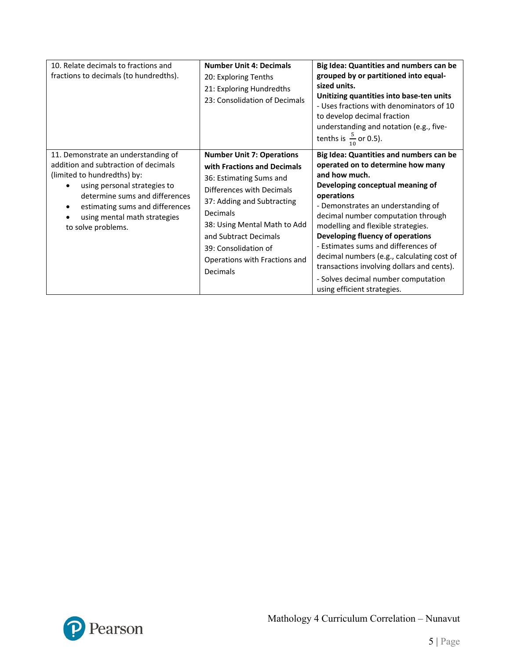| 10. Relate decimals to fractions and<br>fractions to decimals (to hundredths).                                                                                                                                                                                        | <b>Number Unit 4: Decimals</b><br>20: Exploring Tenths<br>21: Exploring Hundredths<br>23: Consolidation of Decimals                                                                                                                                                                             | Big Idea: Quantities and numbers can be<br>grouped by or partitioned into equal-<br>sized units.<br>Unitizing quantities into base-ten units<br>- Uses fractions with denominators of 10<br>to develop decimal fraction<br>understanding and notation (e.g., five-<br>tenths is $\frac{5}{10}$ or 0.5).                                                                                                                                                                                                        |
|-----------------------------------------------------------------------------------------------------------------------------------------------------------------------------------------------------------------------------------------------------------------------|-------------------------------------------------------------------------------------------------------------------------------------------------------------------------------------------------------------------------------------------------------------------------------------------------|----------------------------------------------------------------------------------------------------------------------------------------------------------------------------------------------------------------------------------------------------------------------------------------------------------------------------------------------------------------------------------------------------------------------------------------------------------------------------------------------------------------|
| 11. Demonstrate an understanding of<br>addition and subtraction of decimals<br>(limited to hundredths) by:<br>using personal strategies to<br>determine sums and differences<br>estimating sums and differences<br>using mental math strategies<br>to solve problems. | <b>Number Unit 7: Operations</b><br>with Fractions and Decimals<br>36: Estimating Sums and<br>Differences with Decimals<br>37: Adding and Subtracting<br>Decimals<br>38: Using Mental Math to Add<br>and Subtract Decimals<br>39: Consolidation of<br>Operations with Fractions and<br>Decimals | Big Idea: Quantities and numbers can be<br>operated on to determine how many<br>and how much.<br>Developing conceptual meaning of<br>operations<br>- Demonstrates an understanding of<br>decimal number computation through<br>modelling and flexible strategies.<br>Developing fluency of operations<br>- Estimates sums and differences of<br>decimal numbers (e.g., calculating cost of<br>transactions involving dollars and cents).<br>- Solves decimal number computation<br>using efficient strategies. |

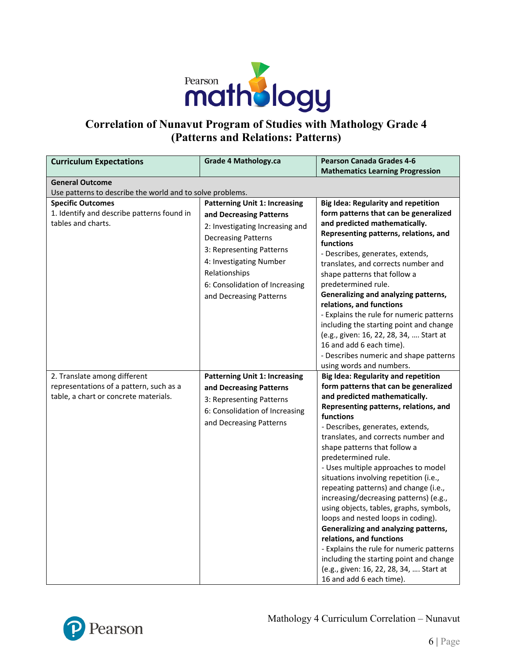

## **Correlation of Nunavut Program of Studies with Mathology Grade 4 (Patterns and Relations: Patterns)**

| <b>Curriculum Expectations</b>                                                                                   | <b>Grade 4 Mathology.ca</b>                                                                                                                                                                                                                                           | <b>Pearson Canada Grades 4-6</b>                                                                                                                                                                                                                                                                                                                                                                                                                                                                                                                                                                                                                                                                                                                                                                    |
|------------------------------------------------------------------------------------------------------------------|-----------------------------------------------------------------------------------------------------------------------------------------------------------------------------------------------------------------------------------------------------------------------|-----------------------------------------------------------------------------------------------------------------------------------------------------------------------------------------------------------------------------------------------------------------------------------------------------------------------------------------------------------------------------------------------------------------------------------------------------------------------------------------------------------------------------------------------------------------------------------------------------------------------------------------------------------------------------------------------------------------------------------------------------------------------------------------------------|
|                                                                                                                  |                                                                                                                                                                                                                                                                       | <b>Mathematics Learning Progression</b>                                                                                                                                                                                                                                                                                                                                                                                                                                                                                                                                                                                                                                                                                                                                                             |
| <b>General Outcome</b><br>Use patterns to describe the world and to solve problems.                              |                                                                                                                                                                                                                                                                       |                                                                                                                                                                                                                                                                                                                                                                                                                                                                                                                                                                                                                                                                                                                                                                                                     |
| <b>Specific Outcomes</b><br>1. Identify and describe patterns found in<br>tables and charts.                     | <b>Patterning Unit 1: Increasing</b><br>and Decreasing Patterns<br>2: Investigating Increasing and<br><b>Decreasing Patterns</b><br>3: Representing Patterns<br>4: Investigating Number<br>Relationships<br>6: Consolidation of Increasing<br>and Decreasing Patterns | <b>Big Idea: Regularity and repetition</b><br>form patterns that can be generalized<br>and predicted mathematically.<br>Representing patterns, relations, and<br>functions<br>- Describes, generates, extends,<br>translates, and corrects number and<br>shape patterns that follow a<br>predetermined rule.<br>Generalizing and analyzing patterns,<br>relations, and functions<br>- Explains the rule for numeric patterns<br>including the starting point and change<br>(e.g., given: 16, 22, 28, 34,  Start at<br>16 and add 6 each time).<br>- Describes numeric and shape patterns<br>using words and numbers.                                                                                                                                                                                |
| 2. Translate among different<br>representations of a pattern, such as a<br>table, a chart or concrete materials. | <b>Patterning Unit 1: Increasing</b><br>and Decreasing Patterns<br>3: Representing Patterns<br>6: Consolidation of Increasing<br>and Decreasing Patterns                                                                                                              | <b>Big Idea: Regularity and repetition</b><br>form patterns that can be generalized<br>and predicted mathematically.<br>Representing patterns, relations, and<br>functions<br>- Describes, generates, extends,<br>translates, and corrects number and<br>shape patterns that follow a<br>predetermined rule.<br>- Uses multiple approaches to model<br>situations involving repetition (i.e.,<br>repeating patterns) and change (i.e.,<br>increasing/decreasing patterns) (e.g.,<br>using objects, tables, graphs, symbols,<br>loops and nested loops in coding).<br>Generalizing and analyzing patterns,<br>relations, and functions<br>- Explains the rule for numeric patterns<br>including the starting point and change<br>(e.g., given: 16, 22, 28, 34,  Start at<br>16 and add 6 each time). |

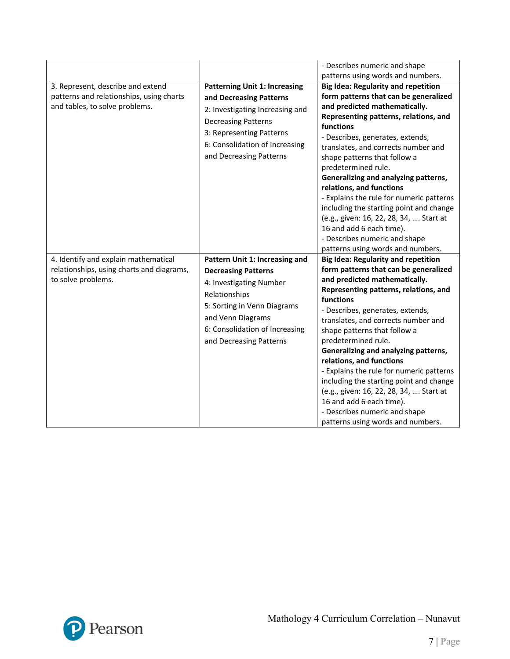|                                                                                                                 |                                                                                                                                                                                                                           | - Describes numeric and shape                                                                                                                                                                                                                                                                                                                                                                                                                                                                                                                                                                                                                             |
|-----------------------------------------------------------------------------------------------------------------|---------------------------------------------------------------------------------------------------------------------------------------------------------------------------------------------------------------------------|-----------------------------------------------------------------------------------------------------------------------------------------------------------------------------------------------------------------------------------------------------------------------------------------------------------------------------------------------------------------------------------------------------------------------------------------------------------------------------------------------------------------------------------------------------------------------------------------------------------------------------------------------------------|
| 3. Represent, describe and extend<br>patterns and relationships, using charts<br>and tables, to solve problems. | <b>Patterning Unit 1: Increasing</b><br>and Decreasing Patterns<br>2: Investigating Increasing and<br><b>Decreasing Patterns</b><br>3: Representing Patterns<br>6: Consolidation of Increasing<br>and Decreasing Patterns | patterns using words and numbers.<br><b>Big Idea: Regularity and repetition</b><br>form patterns that can be generalized<br>and predicted mathematically.<br>Representing patterns, relations, and<br>functions<br>- Describes, generates, extends,<br>translates, and corrects number and<br>shape patterns that follow a<br>predetermined rule.<br>Generalizing and analyzing patterns,<br>relations, and functions<br>- Explains the rule for numeric patterns<br>including the starting point and change<br>(e.g., given: 16, 22, 28, 34,  Start at<br>16 and add 6 each time).<br>- Describes numeric and shape<br>patterns using words and numbers. |
| 4. Identify and explain mathematical<br>relationships, using charts and diagrams,<br>to solve problems.         | Pattern Unit 1: Increasing and<br><b>Decreasing Patterns</b><br>4: Investigating Number<br>Relationships<br>5: Sorting in Venn Diagrams<br>and Venn Diagrams<br>6: Consolidation of Increasing<br>and Decreasing Patterns | <b>Big Idea: Regularity and repetition</b><br>form patterns that can be generalized<br>and predicted mathematically.<br>Representing patterns, relations, and<br>functions<br>- Describes, generates, extends,<br>translates, and corrects number and<br>shape patterns that follow a<br>predetermined rule.<br>Generalizing and analyzing patterns,<br>relations, and functions<br>- Explains the rule for numeric patterns<br>including the starting point and change<br>(e.g., given: 16, 22, 28, 34,  Start at<br>16 and add 6 each time).<br>- Describes numeric and shape<br>patterns using words and numbers.                                      |

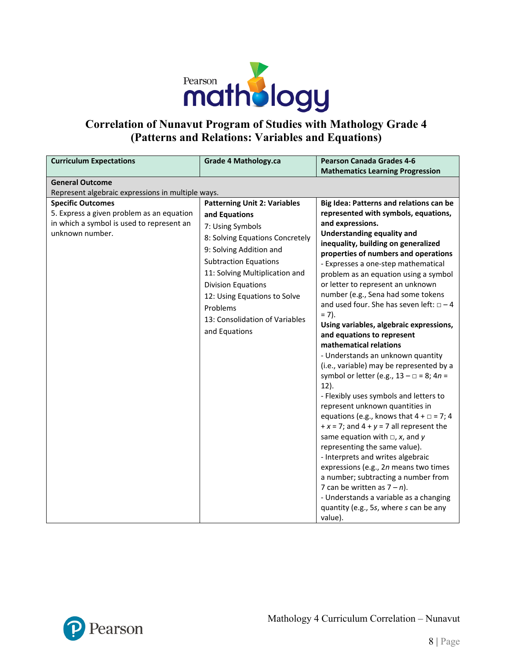

## **Correlation of Nunavut Program of Studies with Mathology Grade 4 (Patterns and Relations: Variables and Equations)**

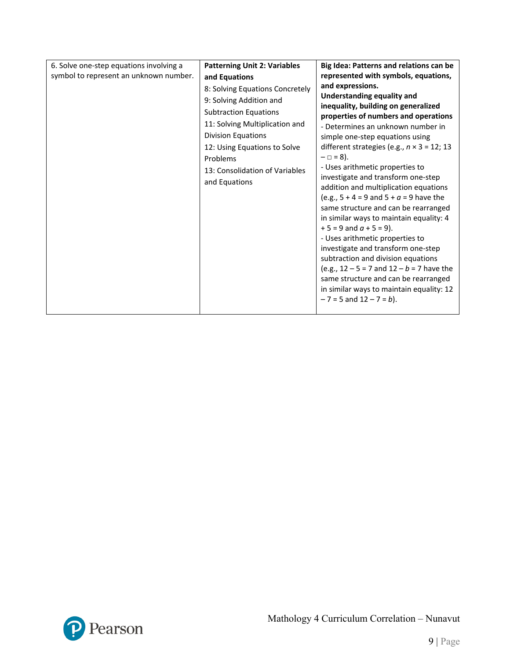| 6. Solve one-step equations involving a<br>symbol to represent an unknown number. | <b>Patterning Unit 2: Variables</b><br>and Equations<br>8: Solving Equations Concretely<br>9: Solving Addition and<br><b>Subtraction Equations</b><br>11: Solving Multiplication and<br><b>Division Equations</b><br>12: Using Equations to Solve<br>Problems<br>13: Consolidation of Variables<br>and Equations | Big Idea: Patterns and relations can be<br>represented with symbols, equations,<br>and expressions.<br><b>Understanding equality and</b><br>inequality, building on generalized<br>properties of numbers and operations<br>- Determines an unknown number in<br>simple one-step equations using<br>different strategies (e.g., $n \times 3 = 12$ ; 13<br>$- \Box = 8$ ).<br>- Uses arithmetic properties to<br>investigate and transform one-step<br>addition and multiplication equations<br>(e.g., $5 + 4 = 9$ and $5 + a = 9$ have the<br>same structure and can be rearranged<br>in similar ways to maintain equality: 4<br>$+5 = 9$ and $a + 5 = 9$ ).<br>- Uses arithmetic properties to<br>investigate and transform one-step<br>subtraction and division equations<br>(e.g., $12 - 5 = 7$ and $12 - b = 7$ have the<br>same structure and can be rearranged<br>in similar ways to maintain equality: 12<br>$-7 = 5$ and $12 - 7 = b$ ). |
|-----------------------------------------------------------------------------------|------------------------------------------------------------------------------------------------------------------------------------------------------------------------------------------------------------------------------------------------------------------------------------------------------------------|-------------------------------------------------------------------------------------------------------------------------------------------------------------------------------------------------------------------------------------------------------------------------------------------------------------------------------------------------------------------------------------------------------------------------------------------------------------------------------------------------------------------------------------------------------------------------------------------------------------------------------------------------------------------------------------------------------------------------------------------------------------------------------------------------------------------------------------------------------------------------------------------------------------------------------------------------|
|-----------------------------------------------------------------------------------|------------------------------------------------------------------------------------------------------------------------------------------------------------------------------------------------------------------------------------------------------------------------------------------------------------------|-------------------------------------------------------------------------------------------------------------------------------------------------------------------------------------------------------------------------------------------------------------------------------------------------------------------------------------------------------------------------------------------------------------------------------------------------------------------------------------------------------------------------------------------------------------------------------------------------------------------------------------------------------------------------------------------------------------------------------------------------------------------------------------------------------------------------------------------------------------------------------------------------------------------------------------------------|

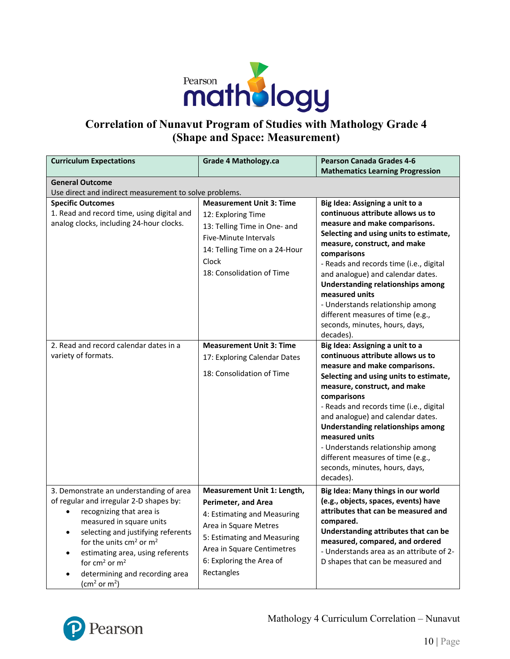

## **Correlation of Nunavut Program of Studies with Mathology Grade 4 (Shape and Space: Measurement)**

| <b>Curriculum Expectations</b>                                                                                                                                                                                                                                                                                                                                                                   | <b>Grade 4 Mathology.ca</b>                                                                                                                                                                                              | <b>Pearson Canada Grades 4-6</b><br><b>Mathematics Learning Progression</b>                                                                                                                                                                                                                                                                                                                                                                                          |
|--------------------------------------------------------------------------------------------------------------------------------------------------------------------------------------------------------------------------------------------------------------------------------------------------------------------------------------------------------------------------------------------------|--------------------------------------------------------------------------------------------------------------------------------------------------------------------------------------------------------------------------|----------------------------------------------------------------------------------------------------------------------------------------------------------------------------------------------------------------------------------------------------------------------------------------------------------------------------------------------------------------------------------------------------------------------------------------------------------------------|
| <b>General Outcome</b><br>Use direct and indirect measurement to solve problems.                                                                                                                                                                                                                                                                                                                 |                                                                                                                                                                                                                          |                                                                                                                                                                                                                                                                                                                                                                                                                                                                      |
| <b>Specific Outcomes</b><br>1. Read and record time, using digital and<br>analog clocks, including 24-hour clocks.                                                                                                                                                                                                                                                                               | <b>Measurement Unit 3: Time</b><br>12: Exploring Time<br>13: Telling Time in One- and<br><b>Five-Minute Intervals</b><br>14: Telling Time on a 24-Hour<br>Clock<br>18: Consolidation of Time                             | Big Idea: Assigning a unit to a<br>continuous attribute allows us to<br>measure and make comparisons.<br>Selecting and using units to estimate,<br>measure, construct, and make<br>comparisons<br>- Reads and records time (i.e., digital<br>and analogue) and calendar dates.<br><b>Understanding relationships among</b><br>measured units<br>- Understands relationship among<br>different measures of time (e.g.,<br>seconds, minutes, hours, days,<br>decades). |
| 2. Read and record calendar dates in a<br>variety of formats.                                                                                                                                                                                                                                                                                                                                    | <b>Measurement Unit 3: Time</b><br>17: Exploring Calendar Dates<br>18: Consolidation of Time                                                                                                                             | Big Idea: Assigning a unit to a<br>continuous attribute allows us to<br>measure and make comparisons.<br>Selecting and using units to estimate,<br>measure, construct, and make<br>comparisons<br>- Reads and records time (i.e., digital<br>and analogue) and calendar dates.<br><b>Understanding relationships among</b><br>measured units<br>- Understands relationship among<br>different measures of time (e.g.,<br>seconds, minutes, hours, days,<br>decades). |
| 3. Demonstrate an understanding of area<br>of regular and irregular 2-D shapes by:<br>recognizing that area is<br>$\bullet$<br>measured in square units<br>selecting and justifying referents<br>$\bullet$<br>for the units cm <sup>2</sup> or m <sup>2</sup><br>estimating area, using referents<br>for $cm2$ or $m2$<br>determining and recording area<br>(cm <sup>2</sup> or m <sup>2</sup> ) | Measurement Unit 1: Length,<br><b>Perimeter, and Area</b><br>4: Estimating and Measuring<br>Area in Square Metres<br>5: Estimating and Measuring<br>Area in Square Centimetres<br>6: Exploring the Area of<br>Rectangles | Big Idea: Many things in our world<br>(e.g., objects, spaces, events) have<br>attributes that can be measured and<br>compared.<br>Understanding attributes that can be<br>measured, compared, and ordered<br>- Understands area as an attribute of 2-<br>D shapes that can be measured and                                                                                                                                                                           |

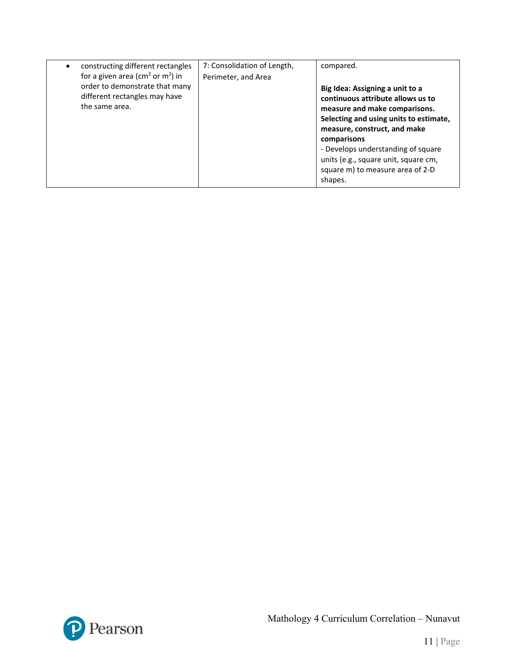| constructing different rectangles<br>for a given area ( $\text{cm}^2$ or $\text{m}^2$ ) in | 7: Consolidation of Length,<br>Perimeter, and Area | compared.                                                                                                                                                                                                                                                                                                                   |
|--------------------------------------------------------------------------------------------|----------------------------------------------------|-----------------------------------------------------------------------------------------------------------------------------------------------------------------------------------------------------------------------------------------------------------------------------------------------------------------------------|
| order to demonstrate that many<br>different rectangles may have<br>the same area.          |                                                    | Big Idea: Assigning a unit to a<br>continuous attribute allows us to<br>measure and make comparisons.<br>Selecting and using units to estimate,<br>measure, construct, and make<br>comparisons<br>- Develops understanding of square<br>units (e.g., square unit, square cm,<br>square m) to measure area of 2-D<br>shapes. |

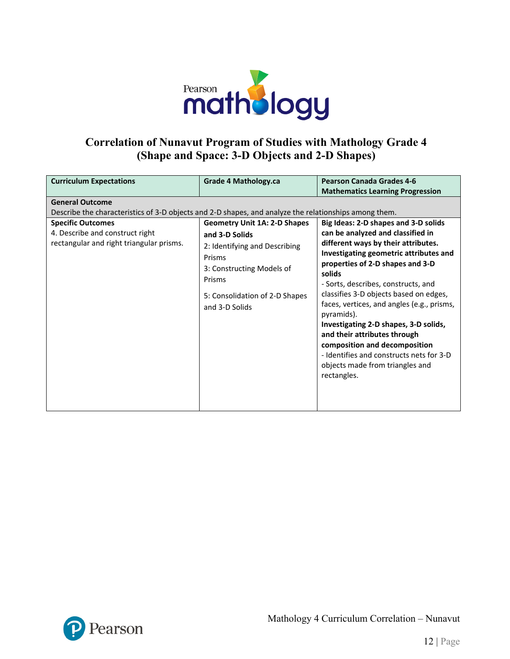

#### **Correlation of Nunavut Program of Studies with Mathology Grade 4 (Shape and Space: 3-D Objects and 2-D Shapes)**

| <b>Curriculum Expectations</b>                                                                                                                                                                                                             | Grade 4 Mathology.ca                                                                                                                    | <b>Pearson Canada Grades 4-6</b><br><b>Mathematics Learning Progression</b>                                                                                                                                                                                                                                                                       |
|--------------------------------------------------------------------------------------------------------------------------------------------------------------------------------------------------------------------------------------------|-----------------------------------------------------------------------------------------------------------------------------------------|---------------------------------------------------------------------------------------------------------------------------------------------------------------------------------------------------------------------------------------------------------------------------------------------------------------------------------------------------|
| <b>General Outcome</b><br>Describe the characteristics of 3-D objects and 2-D shapes, and analyze the relationships among them.<br><b>Specific Outcomes</b><br>4. Describe and construct right<br>rectangular and right triangular prisms. | <b>Geometry Unit 1A: 2-D Shapes</b><br>and 3-D Solids<br>2: Identifying and Describing<br>Prisms<br>3: Constructing Models of<br>Prisms | Big Ideas: 2-D shapes and 3-D solids<br>can be analyzed and classified in<br>different ways by their attributes.<br>Investigating geometric attributes and<br>properties of 2-D shapes and 3-D<br>solids                                                                                                                                          |
|                                                                                                                                                                                                                                            | 5: Consolidation of 2-D Shapes<br>and 3-D Solids                                                                                        | - Sorts, describes, constructs, and<br>classifies 3-D objects based on edges,<br>faces, vertices, and angles (e.g., prisms,<br>pyramids).<br>Investigating 2-D shapes, 3-D solids,<br>and their attributes through<br>composition and decomposition<br>- Identifies and constructs nets for 3-D<br>objects made from triangles and<br>rectangles. |

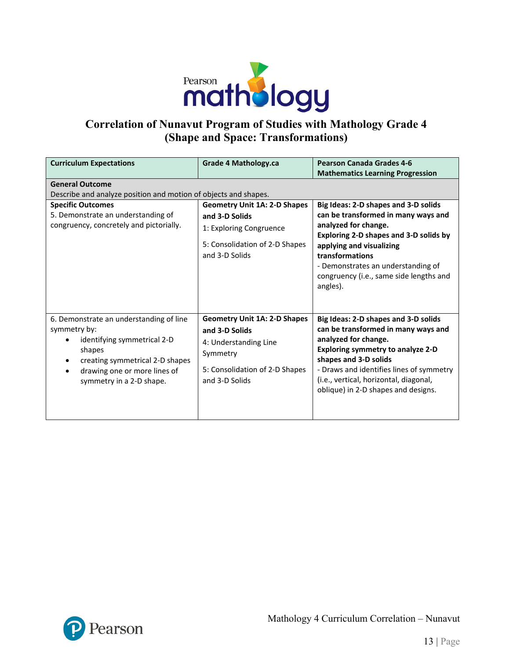

## **Correlation of Nunavut Program of Studies with Mathology Grade 4 (Shape and Space: Transformations)**

| <b>Curriculum Expectations</b><br><b>General Outcome</b><br>Describe and analyze position and motion of objects and shapes.<br><b>Specific Outcomes</b><br>5. Demonstrate an understanding of<br>congruency, concretely and pictorially. | <b>Grade 4 Mathology.ca</b><br><b>Geometry Unit 1A: 2-D Shapes</b><br>and 3-D Solids<br>1: Exploring Congruence<br>5: Consolidation of 2-D Shapes<br>and 3-D Solids | <b>Pearson Canada Grades 4-6</b><br><b>Mathematics Learning Progression</b><br>Big Ideas: 2-D shapes and 3-D solids<br>can be transformed in many ways and<br>analyzed for change.<br>Exploring 2-D shapes and 3-D solids by<br>applying and visualizing<br>transformations<br>- Demonstrates an understanding of<br>congruency (i.e., same side lengths and<br>angles). |
|------------------------------------------------------------------------------------------------------------------------------------------------------------------------------------------------------------------------------------------|---------------------------------------------------------------------------------------------------------------------------------------------------------------------|--------------------------------------------------------------------------------------------------------------------------------------------------------------------------------------------------------------------------------------------------------------------------------------------------------------------------------------------------------------------------|
| 6. Demonstrate an understanding of line<br>symmetry by:<br>identifying symmetrical 2-D<br>shapes<br>creating symmetrical 2-D shapes<br>drawing one or more lines of<br>symmetry in a 2-D shape.                                          | <b>Geometry Unit 1A: 2-D Shapes</b><br>and 3-D Solids<br>4: Understanding Line<br>Symmetry<br>5: Consolidation of 2-D Shapes<br>and 3-D Solids                      | Big Ideas: 2-D shapes and 3-D solids<br>can be transformed in many ways and<br>analyzed for change.<br><b>Exploring symmetry to analyze 2-D</b><br>shapes and 3-D solids<br>- Draws and identifies lines of symmetry<br>(i.e., vertical, horizontal, diagonal,<br>oblique) in 2-D shapes and designs.                                                                    |